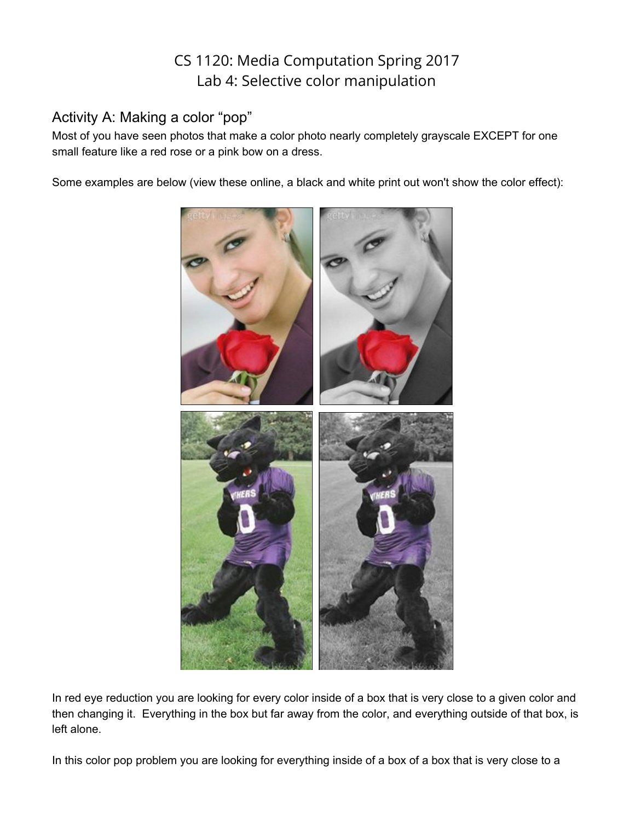## CS 1120: Media Computation Spring 2017 Lab 4: Selective color manipulation

## Activity A: Making a color "pop"

Most of you have seen photos that make a color photo nearly completely grayscale EXCEPT for one small feature like a red rose or a pink bow on a dress.

Some examples are below (view these online, a black and white print out won't show the color effect):



In red eye reduction you are looking for every color inside of a box that is very close to a given color and then changing it. Everything in the box but far away from the color, and everything outside of that box, is left alone.

In this color pop problem you are looking for everything inside of a box of a box that is very close to a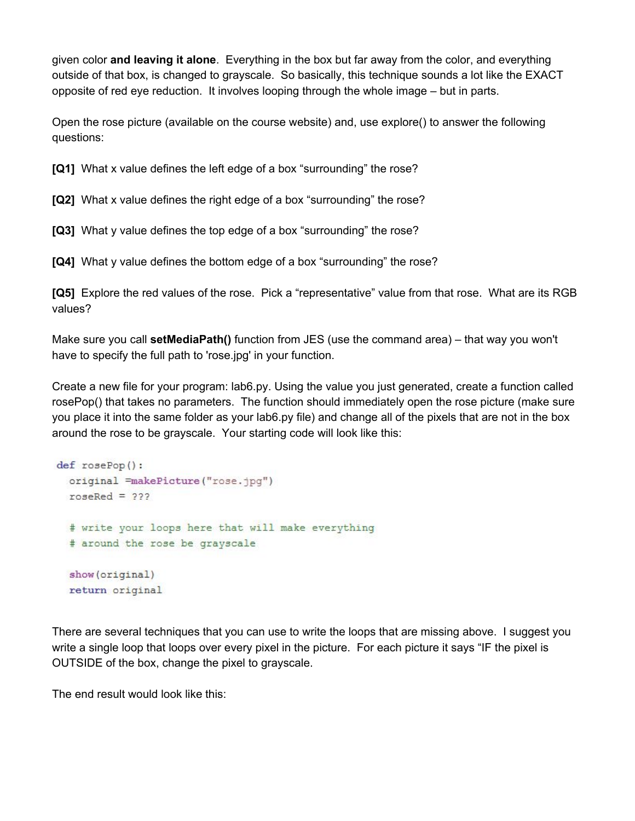given color **and leaving it alone**. Everything in the box but far away from the color, and everything outside of that box, is changed to grayscale. So basically, this technique sounds a lot like the EXACT opposite of red eye reduction. It involves looping through the whole image – but in parts.

Open the rose picture (available on the course website) and, use explore() to answer the following questions:

**[Q1]**  What x value defines the left edge of a box "surrounding" the rose?

**[Q2]** What x value defines the right edge of a box "surrounding" the rose?

**[Q3]**  What y value defines the top edge of a box "surrounding" the rose?

**[Q4]** What y value defines the bottom edge of a box "surrounding" the rose?

**[Q5]** Explore the red values of the rose. Pick a "representative" value from that rose. What are its RGB values?

Make sure you call **setMediaPath()** function from JES (use the command area) – that way you won't have to specify the full path to 'rose.jpg' in your function.

Create a new file for your program: lab6.py. Using the value you just generated, create a function called rosePop() that takes no parameters. The function should immediately open the rose picture (make sure you place it into the same folder as your lab6.py file) and change all of the pixels that are not in the box around the rose to be grayscale. Your starting code will look like this:

```
def rosePop():
 original =makePicture("rose.jpg")
roseRed = 222# write your loops here that will make everything
 # around the rose be grayscale
 show(original)
 return original
```
There are several techniques that you can use to write the loops that are missing above. I suggest you write a single loop that loops over every pixel in the picture. For each picture it says "IF the pixel is OUTSIDE of the box, change the pixel to grayscale.

The end result would look like this: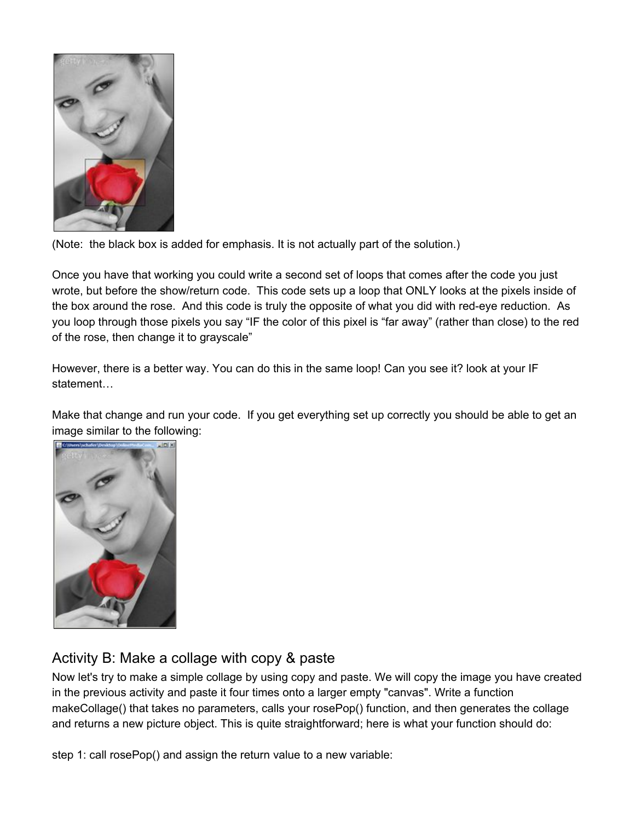

(Note: the black box is added for emphasis. It is not actually part of the solution.)

Once you have that working you could write a second set of loops that comes after the code you just wrote, but before the show/return code. This code sets up a loop that ONLY looks at the pixels inside of the box around the rose. And this code is truly the opposite of what you did with red-eye reduction. As you loop through those pixels you say "IF the color of this pixel is "far away" (rather than close) to the red of the rose, then change it to grayscale"

However, there is a better way. You can do this in the same loop! Can you see it? look at your IF statement…

Make that change and run your code. If you get everything set up correctly you should be able to get an image similar to the following:



## Activity B: Make a collage with copy & paste

Now let's try to make a simple collage by using copy and paste. We will copy the image you have created in the previous activity and paste it four times onto a larger empty "canvas". Write a function makeCollage() that takes no parameters, calls your rosePop() function, and then generates the collage and returns a new picture object. This is quite straightforward; here is what your function should do:

step 1: call rosePop() and assign the return value to a new variable: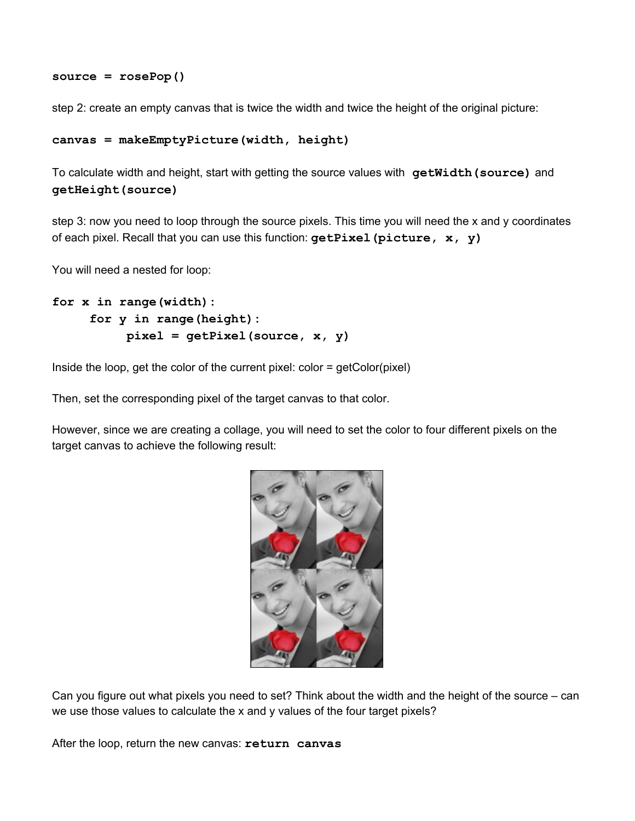```
source = rosePop()
```
step 2: create an empty canvas that is twice the width and twice the height of the original picture:

```
canvas = makeEmptyPicture(width, height)
```
To calculate width and height, start with getting the source values with **getWidth(source)** and **getHeight(source)**

step 3: now you need to loop through the source pixels. This time you will need the x and y coordinates of each pixel. Recall that you can use this function: **getPixel(picture, x, y)**

You will need a nested for loop:

```
for x in range(width):
    for y in range(height):
         pixel = getPixel(source, x, y)
```
Inside the loop, get the color of the current pixel: color = getColor(pixel)

Then, set the corresponding pixel of the target canvas to that color.

However, since we are creating a collage, you will need to set the color to four different pixels on the target canvas to achieve the following result:



Can you figure out what pixels you need to set? Think about the width and the height of the source – can we use those values to calculate the x and y values of the four target pixels?

After the loop, return the new canvas: **return canvas**